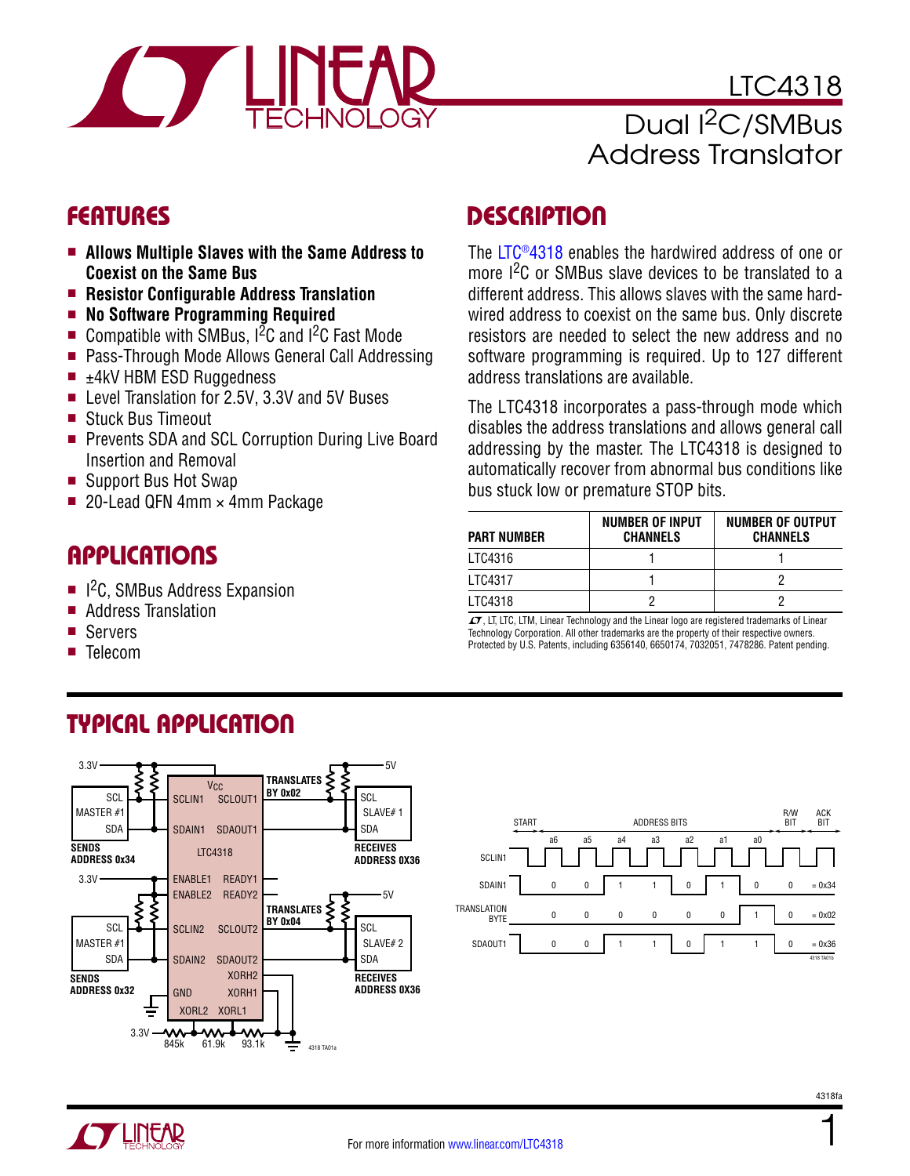

### LTC4318 Dual I<sup>2</sup>C/SMBus Address Translator

- Allows Multiple Slaves with the Same Address to **Coexist on the Same Bus**
- **Resistor Configurable Address Translation**
- **n** No Software Programming Required
- Compatible with SMBus,  $1^2C$  and  $1^2C$  Fast Mode
- Pass-Through Mode Allows General Call Addressing
- $\blacksquare$   $\pm$ 4kV HBM ESD Ruggedness
- Level Translation for 2.5V, 3.3V and 5V Buses
- Stuck Bus Timeout
- Prevents SDA and SCL Corruption During Live Board Insertion and Removal
- Support Bus Hot Swap
- 20-Lead QFN 4mm  $\times$  4mm Package

### Applications

 $\blacksquare$  I<sup>2</sup>C, SMBus Address Expansion

Typical Application

- Address Translation
- **Servers**
- **Telecom**

### FEATURES DESCRIPTION

The [LTC®4318](http://www.linear.com/LTC4318) enables the hardwired address of one or more <sup>2</sup>C or SMBus slave devices to be translated to a different address. This allows slaves with the same hardwired address to coexist on the same bus. Only discrete resistors are needed to select the new address and no software programming is required. Up to 127 different address translations are available.

The LTC4318 incorporates a pass-through mode which disables the address translations and allows general call addressing by the master. The LTC4318 is designed to automatically recover from abnormal bus conditions like bus stuck low or premature STOP bits.

| <b>PART NUMBER</b> | <b>NUMBER OF INPUT</b><br><b>CHANNELS</b> | <b>NUMBER OF OUTPUT</b><br><b>CHANNELS</b> |
|--------------------|-------------------------------------------|--------------------------------------------|
| LTC4316            |                                           |                                            |
| LTC4317            |                                           |                                            |
| LTC4318            |                                           |                                            |

 $\sqrt{J}$ , LT, LTC, LTM, Linear Technology and the Linear logo are registered trademarks of Linear Technology Corporation. All other trademarks are the property of their respective owners. Protected by U.S. Patents, including 6356140, 6650174, 7032051, 7478286. Patent pending.







1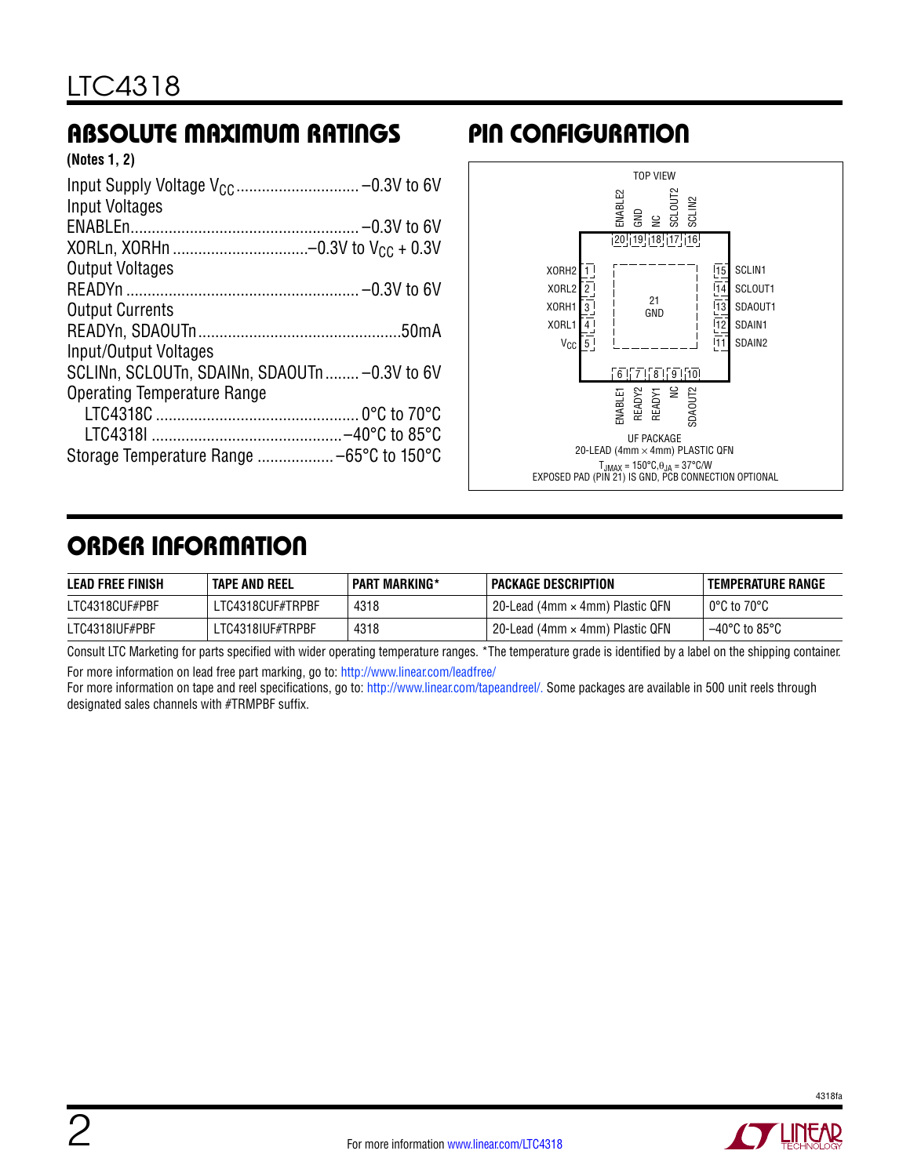### Absolute Maximum Ratings

| (Notes 1, 2) |  |  |
|--------------|--|--|
|--------------|--|--|

| <b>Input Voltages</b>                         |  |
|-----------------------------------------------|--|
|                                               |  |
|                                               |  |
| <b>Output Voltages</b>                        |  |
|                                               |  |
| <b>Output Currents</b>                        |  |
|                                               |  |
| Input/Output Voltages                         |  |
| SCLINn, SCLOUTn, SDAINn, SDAOUTn  -0.3V to 6V |  |
| <b>Operating Temperature Range</b>            |  |
|                                               |  |
|                                               |  |
|                                               |  |

### Pin Configuration



### Order Information

| <b>LEAD FREE FINISH</b> | <b>TAPE AND REEL</b> | <b>PART MARKING*</b> | I PACKAGE DESCRIPTION                  | <b>TEMPERATURE RANGE</b>           |
|-------------------------|----------------------|----------------------|----------------------------------------|------------------------------------|
| LTC4318CUF#PBF          | LTC4318CUF#TRPBF     | 4318                 | 20-Lead (4mm $\times$ 4mm) Plastic QFN | $^{\circ}$ 0°C to 70°C             |
| LTC4318IUF#PBF          | .TC4318IUF#TRPBF     | 4318                 | 20-Lead (4mm $\times$ 4mm) Plastic QFN | $-40^{\circ}$ C to 85 $^{\circ}$ C |

Consult LTC Marketing for parts specified with wider operating temperature ranges. \*The temperature grade is identified by a label on the shipping container. For more information on lead free part marking, go to:<http://www.linear.com/leadfree/>

For more information on tape and reel specifications, go to: [http://www.linear.com/tapeandreel/.](http://www.linear.com/tapeandreel/) Some packages are available in 500 unit reels through designated sales channels with #TRMPBF suffix.

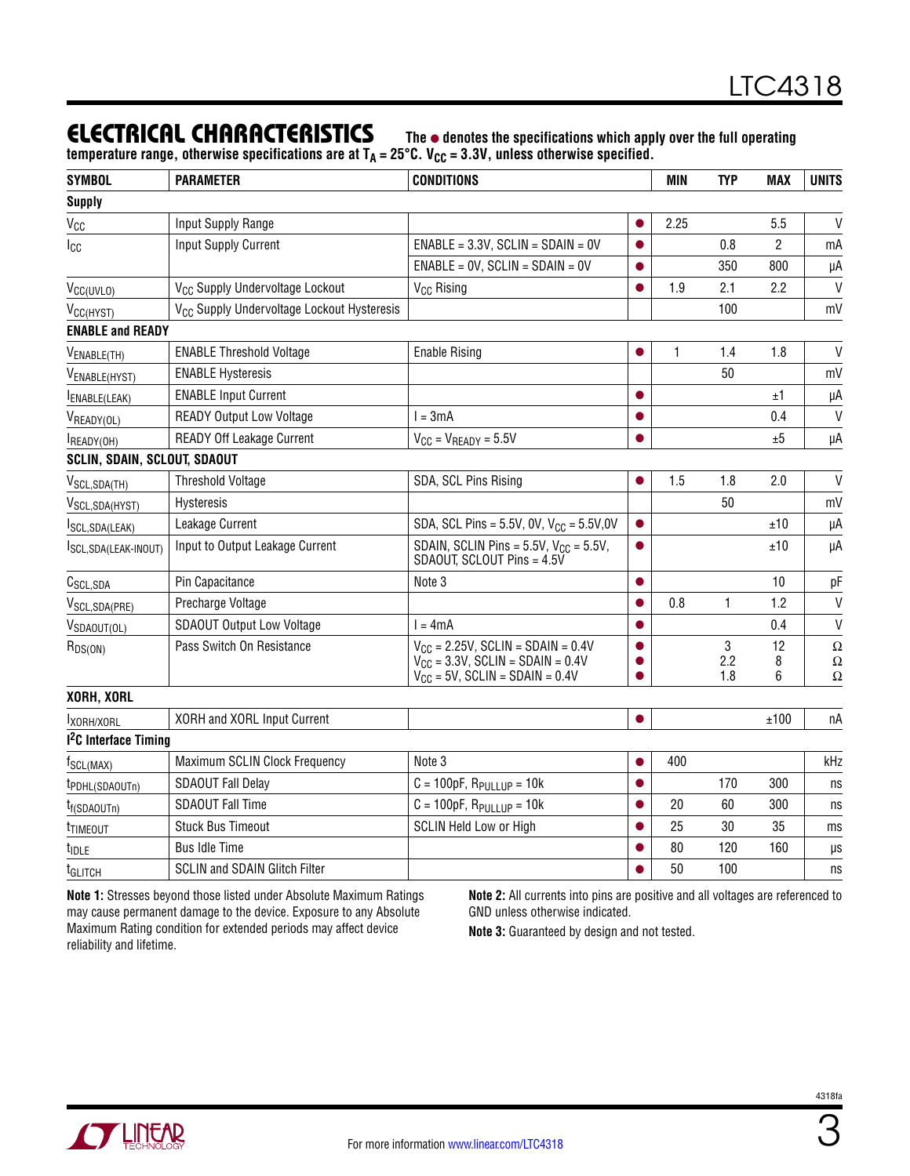### **ELECTRICAL CHARACTERISTICS** The  $\bullet$  denotes the specifications which apply over the full operating

temperature range, otherwise specifications are at T<sub>A</sub> = 25°C. V<sub>CC</sub> = 3.3V, unless otherwise specified.

| <b>Supply</b><br>V<br>$V_{CC}$<br>Input Supply Range<br>2.25<br>5.5<br>$ENABLE = 3.3V$ , SCLIN = SDAIN = 0V<br>2<br><b>Input Supply Current</b><br>0.8<br>Icc<br>mA<br>$ENABLE = OV, SCLIN = SDAIN = OV$<br>350<br>800<br>μA<br>1.9<br>$\mathsf{V}$<br>V <sub>CC</sub> Supply Undervoltage Lockout<br>2.1<br>2.2<br>V <sub>CC</sub> Rising<br>V <sub>CC(UVLO)</sub><br>V <sub>CC</sub> Supply Undervoltage Lockout Hysteresis<br>100<br>mV<br>V <sub>CC(HYST)</sub><br><b>ENABLE and READY</b><br>V<br><b>ENABLE Threshold Voltage</b><br><b>Enable Rising</b><br>1<br>1.4<br>1.8<br>V <sub>ENABLE</sub> (TH)<br>50<br><b>ENABLE Hysteresis</b><br>mV<br>V <sub>ENABLE(HYST)</sub><br><b>ENABLE Input Current</b><br>±1<br>μA<br>ENABLE(LEAK)<br><b>READY Output Low Voltage</b><br>$l = 3mA$<br>V<br>0.4<br>VREADY(OL)<br><b>READY Off Leakage Current</b><br>$V_{CC} = V_{READV} = 5.5V$<br>±5<br>μA<br>READY(OH)<br><b>SCLIN, SDAIN, SCLOUT, SDAOUT</b><br>1.5<br>$\mathsf{V}$<br>SDA, SCL Pins Rising<br>1.8<br>2.0<br><b>Threshold Voltage</b><br>V <sub>SCL,SDA(TH)</sub><br>50<br>Hysteresis<br>mV<br>V <sub>SCL,SDA(HYST)</sub><br>Leakage Current<br>SDA, SCL Pins = $5.5V$ , 0V, $V_{CC} = 5.5V$ , 0V<br>±10<br>μA<br>$\bullet$<br>SCL, SDA (LEAK)<br>SDAIN, SCLIN Pins = $5.5V$ , $V_{CC}$ = $5.5V$ ,<br>Input to Output Leakage Current<br>μA<br>±10<br>SCL, SDA(LEAK-INOUT)<br>SDAOUT, SCLOUT Pins = 4.5V<br>Pin Capacitance<br>Note 3<br>10<br>рF<br>C <sub>SCL,SDA</sub><br>●<br>0.8<br>$\mathbf{1}$<br>$\mathsf{V}$<br>Precharge Voltage<br>1.2<br>V <sub>SCL,SDA(PRE)</sub><br>$\mathsf{V}$<br><b>SDAOUT Output Low Voltage</b><br>0.4<br>$l = 4mA$<br>V <sub>SDAOUT(OL)</sub><br>3<br>Pass Switch On Resistance<br>$V_{CC}$ = 2.25V, SCLIN = SDAIN = 0.4V<br>12<br>$R_{DS(ON)}$<br>2.2<br>$V_{\text{CC}} = 3.3V$ , SCLIN = SDAIN = 0.4V<br>8<br>$V_{CC}$ = 5V, SCLIN = SDAIN = 0.4V<br>1.8<br>6<br>$\Omega$<br>XORH, XORL<br>XORH and XORL Input Current<br>±100<br>nA<br>IXORH/XORL<br>1 <sup>2</sup> C Interface Timing<br>Maximum SCLIN Clock Frequency<br>Note 3<br>400<br>kHz<br>$f_{SCL(MAX)}$<br><b>SDAOUT Fall Delay</b><br>170<br>$C = 100pF$ , $R_{PULLUP} = 10k$<br>300<br>ns<br>t <sub>PDHL(SDAOUTn)</sub><br><b>SDAOUT Fall Time</b><br>$C = 100pF$ , $R_{PULLUP} = 10k$<br>20<br>60<br>300<br>ns<br>$t_{f(SDAOUTn)}$<br><b>Stuck Bus Timeout</b><br><b>SCLIN Held Low or High</b><br>25<br>30<br>35<br>ms<br>t <sub>TIMEOUT</sub><br><b>Bus Idle Time</b><br>80<br>120<br>160<br>$\mu s$<br>t <sub>idle</sub><br><b>SCLIN and SDAIN Glitch Filter</b><br>50<br>100<br>ns<br>t <sub>GLITCH</sub> | <b>SYMBOL</b> | <b>PARAMETER</b> | <b>CONDITIONS</b> | MIN | <b>TYP</b> | <b>MAX</b> | <b>UNITS</b> |
|---------------------------------------------------------------------------------------------------------------------------------------------------------------------------------------------------------------------------------------------------------------------------------------------------------------------------------------------------------------------------------------------------------------------------------------------------------------------------------------------------------------------------------------------------------------------------------------------------------------------------------------------------------------------------------------------------------------------------------------------------------------------------------------------------------------------------------------------------------------------------------------------------------------------------------------------------------------------------------------------------------------------------------------------------------------------------------------------------------------------------------------------------------------------------------------------------------------------------------------------------------------------------------------------------------------------------------------------------------------------------------------------------------------------------------------------------------------------------------------------------------------------------------------------------------------------------------------------------------------------------------------------------------------------------------------------------------------------------------------------------------------------------------------------------------------------------------------------------------------------------------------------------------------------------------------------------------------------------------------------------------------------------------------------------------------------------------------------------------------------------------------------------------------------------------------------------------------------------------------------------------------------------------------------------------------------------------------------------------------------------------------------------------------------------------------------------------------------------------------------------------------------------------------------------------------------------------------------------------------------------------|---------------|------------------|-------------------|-----|------------|------------|--------------|
| $\Omega$<br>Ω                                                                                                                                                                                                                                                                                                                                                                                                                                                                                                                                                                                                                                                                                                                                                                                                                                                                                                                                                                                                                                                                                                                                                                                                                                                                                                                                                                                                                                                                                                                                                                                                                                                                                                                                                                                                                                                                                                                                                                                                                                                                                                                                                                                                                                                                                                                                                                                                                                                                                                                                                                                                                   |               |                  |                   |     |            |            |              |
|                                                                                                                                                                                                                                                                                                                                                                                                                                                                                                                                                                                                                                                                                                                                                                                                                                                                                                                                                                                                                                                                                                                                                                                                                                                                                                                                                                                                                                                                                                                                                                                                                                                                                                                                                                                                                                                                                                                                                                                                                                                                                                                                                                                                                                                                                                                                                                                                                                                                                                                                                                                                                                 |               |                  |                   |     |            |            |              |
|                                                                                                                                                                                                                                                                                                                                                                                                                                                                                                                                                                                                                                                                                                                                                                                                                                                                                                                                                                                                                                                                                                                                                                                                                                                                                                                                                                                                                                                                                                                                                                                                                                                                                                                                                                                                                                                                                                                                                                                                                                                                                                                                                                                                                                                                                                                                                                                                                                                                                                                                                                                                                                 |               |                  |                   |     |            |            |              |
|                                                                                                                                                                                                                                                                                                                                                                                                                                                                                                                                                                                                                                                                                                                                                                                                                                                                                                                                                                                                                                                                                                                                                                                                                                                                                                                                                                                                                                                                                                                                                                                                                                                                                                                                                                                                                                                                                                                                                                                                                                                                                                                                                                                                                                                                                                                                                                                                                                                                                                                                                                                                                                 |               |                  |                   |     |            |            |              |
|                                                                                                                                                                                                                                                                                                                                                                                                                                                                                                                                                                                                                                                                                                                                                                                                                                                                                                                                                                                                                                                                                                                                                                                                                                                                                                                                                                                                                                                                                                                                                                                                                                                                                                                                                                                                                                                                                                                                                                                                                                                                                                                                                                                                                                                                                                                                                                                                                                                                                                                                                                                                                                 |               |                  |                   |     |            |            |              |
|                                                                                                                                                                                                                                                                                                                                                                                                                                                                                                                                                                                                                                                                                                                                                                                                                                                                                                                                                                                                                                                                                                                                                                                                                                                                                                                                                                                                                                                                                                                                                                                                                                                                                                                                                                                                                                                                                                                                                                                                                                                                                                                                                                                                                                                                                                                                                                                                                                                                                                                                                                                                                                 |               |                  |                   |     |            |            |              |
|                                                                                                                                                                                                                                                                                                                                                                                                                                                                                                                                                                                                                                                                                                                                                                                                                                                                                                                                                                                                                                                                                                                                                                                                                                                                                                                                                                                                                                                                                                                                                                                                                                                                                                                                                                                                                                                                                                                                                                                                                                                                                                                                                                                                                                                                                                                                                                                                                                                                                                                                                                                                                                 |               |                  |                   |     |            |            |              |
|                                                                                                                                                                                                                                                                                                                                                                                                                                                                                                                                                                                                                                                                                                                                                                                                                                                                                                                                                                                                                                                                                                                                                                                                                                                                                                                                                                                                                                                                                                                                                                                                                                                                                                                                                                                                                                                                                                                                                                                                                                                                                                                                                                                                                                                                                                                                                                                                                                                                                                                                                                                                                                 |               |                  |                   |     |            |            |              |
|                                                                                                                                                                                                                                                                                                                                                                                                                                                                                                                                                                                                                                                                                                                                                                                                                                                                                                                                                                                                                                                                                                                                                                                                                                                                                                                                                                                                                                                                                                                                                                                                                                                                                                                                                                                                                                                                                                                                                                                                                                                                                                                                                                                                                                                                                                                                                                                                                                                                                                                                                                                                                                 |               |                  |                   |     |            |            |              |
|                                                                                                                                                                                                                                                                                                                                                                                                                                                                                                                                                                                                                                                                                                                                                                                                                                                                                                                                                                                                                                                                                                                                                                                                                                                                                                                                                                                                                                                                                                                                                                                                                                                                                                                                                                                                                                                                                                                                                                                                                                                                                                                                                                                                                                                                                                                                                                                                                                                                                                                                                                                                                                 |               |                  |                   |     |            |            |              |
|                                                                                                                                                                                                                                                                                                                                                                                                                                                                                                                                                                                                                                                                                                                                                                                                                                                                                                                                                                                                                                                                                                                                                                                                                                                                                                                                                                                                                                                                                                                                                                                                                                                                                                                                                                                                                                                                                                                                                                                                                                                                                                                                                                                                                                                                                                                                                                                                                                                                                                                                                                                                                                 |               |                  |                   |     |            |            |              |
|                                                                                                                                                                                                                                                                                                                                                                                                                                                                                                                                                                                                                                                                                                                                                                                                                                                                                                                                                                                                                                                                                                                                                                                                                                                                                                                                                                                                                                                                                                                                                                                                                                                                                                                                                                                                                                                                                                                                                                                                                                                                                                                                                                                                                                                                                                                                                                                                                                                                                                                                                                                                                                 |               |                  |                   |     |            |            |              |
|                                                                                                                                                                                                                                                                                                                                                                                                                                                                                                                                                                                                                                                                                                                                                                                                                                                                                                                                                                                                                                                                                                                                                                                                                                                                                                                                                                                                                                                                                                                                                                                                                                                                                                                                                                                                                                                                                                                                                                                                                                                                                                                                                                                                                                                                                                                                                                                                                                                                                                                                                                                                                                 |               |                  |                   |     |            |            |              |
|                                                                                                                                                                                                                                                                                                                                                                                                                                                                                                                                                                                                                                                                                                                                                                                                                                                                                                                                                                                                                                                                                                                                                                                                                                                                                                                                                                                                                                                                                                                                                                                                                                                                                                                                                                                                                                                                                                                                                                                                                                                                                                                                                                                                                                                                                                                                                                                                                                                                                                                                                                                                                                 |               |                  |                   |     |            |            |              |
|                                                                                                                                                                                                                                                                                                                                                                                                                                                                                                                                                                                                                                                                                                                                                                                                                                                                                                                                                                                                                                                                                                                                                                                                                                                                                                                                                                                                                                                                                                                                                                                                                                                                                                                                                                                                                                                                                                                                                                                                                                                                                                                                                                                                                                                                                                                                                                                                                                                                                                                                                                                                                                 |               |                  |                   |     |            |            |              |
|                                                                                                                                                                                                                                                                                                                                                                                                                                                                                                                                                                                                                                                                                                                                                                                                                                                                                                                                                                                                                                                                                                                                                                                                                                                                                                                                                                                                                                                                                                                                                                                                                                                                                                                                                                                                                                                                                                                                                                                                                                                                                                                                                                                                                                                                                                                                                                                                                                                                                                                                                                                                                                 |               |                  |                   |     |            |            |              |
|                                                                                                                                                                                                                                                                                                                                                                                                                                                                                                                                                                                                                                                                                                                                                                                                                                                                                                                                                                                                                                                                                                                                                                                                                                                                                                                                                                                                                                                                                                                                                                                                                                                                                                                                                                                                                                                                                                                                                                                                                                                                                                                                                                                                                                                                                                                                                                                                                                                                                                                                                                                                                                 |               |                  |                   |     |            |            |              |
|                                                                                                                                                                                                                                                                                                                                                                                                                                                                                                                                                                                                                                                                                                                                                                                                                                                                                                                                                                                                                                                                                                                                                                                                                                                                                                                                                                                                                                                                                                                                                                                                                                                                                                                                                                                                                                                                                                                                                                                                                                                                                                                                                                                                                                                                                                                                                                                                                                                                                                                                                                                                                                 |               |                  |                   |     |            |            |              |
|                                                                                                                                                                                                                                                                                                                                                                                                                                                                                                                                                                                                                                                                                                                                                                                                                                                                                                                                                                                                                                                                                                                                                                                                                                                                                                                                                                                                                                                                                                                                                                                                                                                                                                                                                                                                                                                                                                                                                                                                                                                                                                                                                                                                                                                                                                                                                                                                                                                                                                                                                                                                                                 |               |                  |                   |     |            |            |              |
|                                                                                                                                                                                                                                                                                                                                                                                                                                                                                                                                                                                                                                                                                                                                                                                                                                                                                                                                                                                                                                                                                                                                                                                                                                                                                                                                                                                                                                                                                                                                                                                                                                                                                                                                                                                                                                                                                                                                                                                                                                                                                                                                                                                                                                                                                                                                                                                                                                                                                                                                                                                                                                 |               |                  |                   |     |            |            |              |
|                                                                                                                                                                                                                                                                                                                                                                                                                                                                                                                                                                                                                                                                                                                                                                                                                                                                                                                                                                                                                                                                                                                                                                                                                                                                                                                                                                                                                                                                                                                                                                                                                                                                                                                                                                                                                                                                                                                                                                                                                                                                                                                                                                                                                                                                                                                                                                                                                                                                                                                                                                                                                                 |               |                  |                   |     |            |            |              |
|                                                                                                                                                                                                                                                                                                                                                                                                                                                                                                                                                                                                                                                                                                                                                                                                                                                                                                                                                                                                                                                                                                                                                                                                                                                                                                                                                                                                                                                                                                                                                                                                                                                                                                                                                                                                                                                                                                                                                                                                                                                                                                                                                                                                                                                                                                                                                                                                                                                                                                                                                                                                                                 |               |                  |                   |     |            |            |              |
|                                                                                                                                                                                                                                                                                                                                                                                                                                                                                                                                                                                                                                                                                                                                                                                                                                                                                                                                                                                                                                                                                                                                                                                                                                                                                                                                                                                                                                                                                                                                                                                                                                                                                                                                                                                                                                                                                                                                                                                                                                                                                                                                                                                                                                                                                                                                                                                                                                                                                                                                                                                                                                 |               |                  |                   |     |            |            |              |
|                                                                                                                                                                                                                                                                                                                                                                                                                                                                                                                                                                                                                                                                                                                                                                                                                                                                                                                                                                                                                                                                                                                                                                                                                                                                                                                                                                                                                                                                                                                                                                                                                                                                                                                                                                                                                                                                                                                                                                                                                                                                                                                                                                                                                                                                                                                                                                                                                                                                                                                                                                                                                                 |               |                  |                   |     |            |            |              |
|                                                                                                                                                                                                                                                                                                                                                                                                                                                                                                                                                                                                                                                                                                                                                                                                                                                                                                                                                                                                                                                                                                                                                                                                                                                                                                                                                                                                                                                                                                                                                                                                                                                                                                                                                                                                                                                                                                                                                                                                                                                                                                                                                                                                                                                                                                                                                                                                                                                                                                                                                                                                                                 |               |                  |                   |     |            |            |              |
|                                                                                                                                                                                                                                                                                                                                                                                                                                                                                                                                                                                                                                                                                                                                                                                                                                                                                                                                                                                                                                                                                                                                                                                                                                                                                                                                                                                                                                                                                                                                                                                                                                                                                                                                                                                                                                                                                                                                                                                                                                                                                                                                                                                                                                                                                                                                                                                                                                                                                                                                                                                                                                 |               |                  |                   |     |            |            |              |
|                                                                                                                                                                                                                                                                                                                                                                                                                                                                                                                                                                                                                                                                                                                                                                                                                                                                                                                                                                                                                                                                                                                                                                                                                                                                                                                                                                                                                                                                                                                                                                                                                                                                                                                                                                                                                                                                                                                                                                                                                                                                                                                                                                                                                                                                                                                                                                                                                                                                                                                                                                                                                                 |               |                  |                   |     |            |            |              |
|                                                                                                                                                                                                                                                                                                                                                                                                                                                                                                                                                                                                                                                                                                                                                                                                                                                                                                                                                                                                                                                                                                                                                                                                                                                                                                                                                                                                                                                                                                                                                                                                                                                                                                                                                                                                                                                                                                                                                                                                                                                                                                                                                                                                                                                                                                                                                                                                                                                                                                                                                                                                                                 |               |                  |                   |     |            |            |              |
|                                                                                                                                                                                                                                                                                                                                                                                                                                                                                                                                                                                                                                                                                                                                                                                                                                                                                                                                                                                                                                                                                                                                                                                                                                                                                                                                                                                                                                                                                                                                                                                                                                                                                                                                                                                                                                                                                                                                                                                                                                                                                                                                                                                                                                                                                                                                                                                                                                                                                                                                                                                                                                 |               |                  |                   |     |            |            |              |
|                                                                                                                                                                                                                                                                                                                                                                                                                                                                                                                                                                                                                                                                                                                                                                                                                                                                                                                                                                                                                                                                                                                                                                                                                                                                                                                                                                                                                                                                                                                                                                                                                                                                                                                                                                                                                                                                                                                                                                                                                                                                                                                                                                                                                                                                                                                                                                                                                                                                                                                                                                                                                                 |               |                  |                   |     |            |            |              |
|                                                                                                                                                                                                                                                                                                                                                                                                                                                                                                                                                                                                                                                                                                                                                                                                                                                                                                                                                                                                                                                                                                                                                                                                                                                                                                                                                                                                                                                                                                                                                                                                                                                                                                                                                                                                                                                                                                                                                                                                                                                                                                                                                                                                                                                                                                                                                                                                                                                                                                                                                                                                                                 |               |                  |                   |     |            |            |              |

**Note 1:** Stresses beyond those listed under Absolute Maximum Ratings may cause permanent damage to the device. Exposure to any Absolute Maximum Rating condition for extended periods may affect device reliability and lifetime.

**Note 2:** All currents into pins are positive and all voltages are referenced to GND unless otherwise indicated.

**Note 3:** Guaranteed by design and not tested.

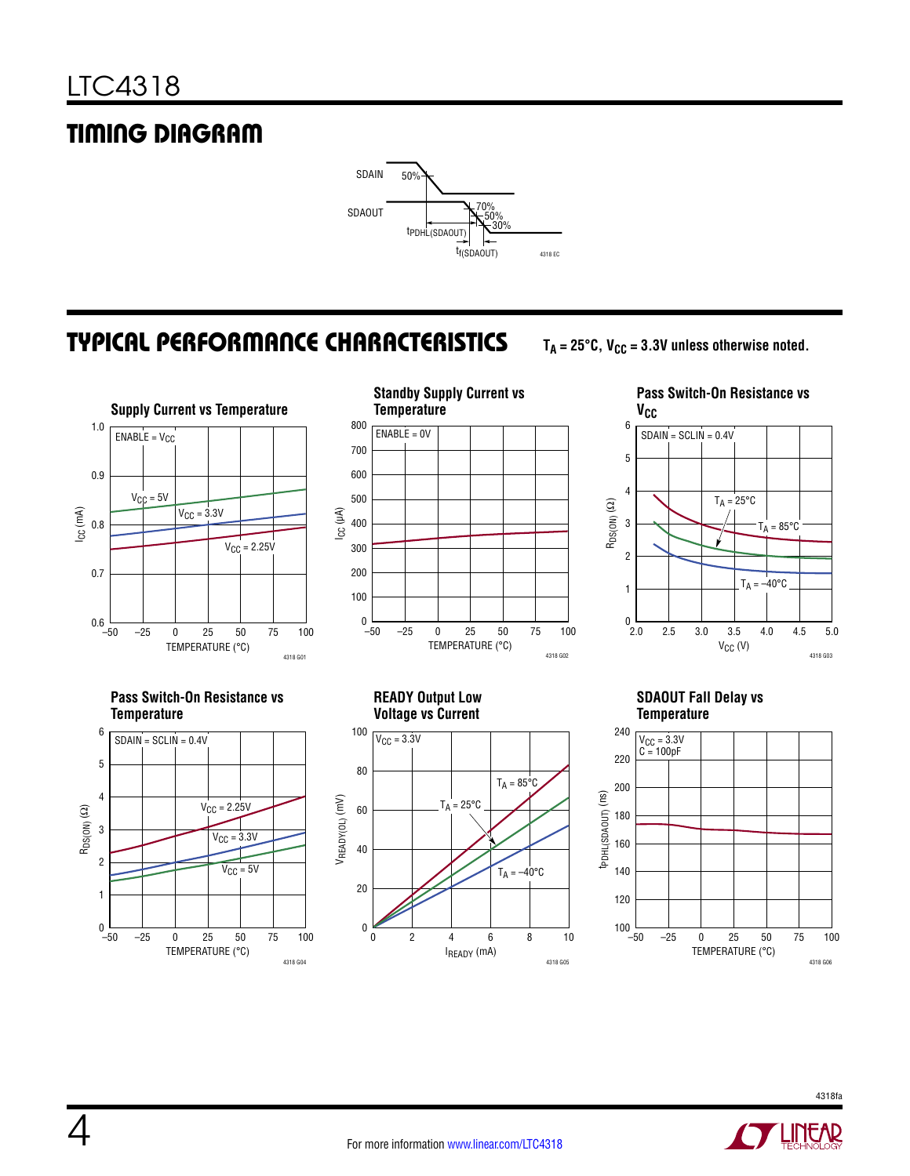# Timing Diagram



### Typical Performance Characteristics

 $T_A = 25^\circ \text{C}$ ,  $V_{CC} = 3.3V$  unless otherwise noted.





**Pass Switch-On Resistance vs**   $V_{CC}$  $V_{CC}$  (V) ∟ 0<br>2.0 RDS(ON) (Ω) 6 5 3 1 4 2 2.5 3.0 3.5 4.0 4.5 5.0  $T_A = -40$ °C  $T_A = 85^{\circ}$ C  $T_A = 25^{\circ}C$  $SDAIN = SCLIN = 0.4V$ 





**READY Output Low Voltage vs Current**



#### **SDAOUT Fall Delay vs Temperature**



4318 G03

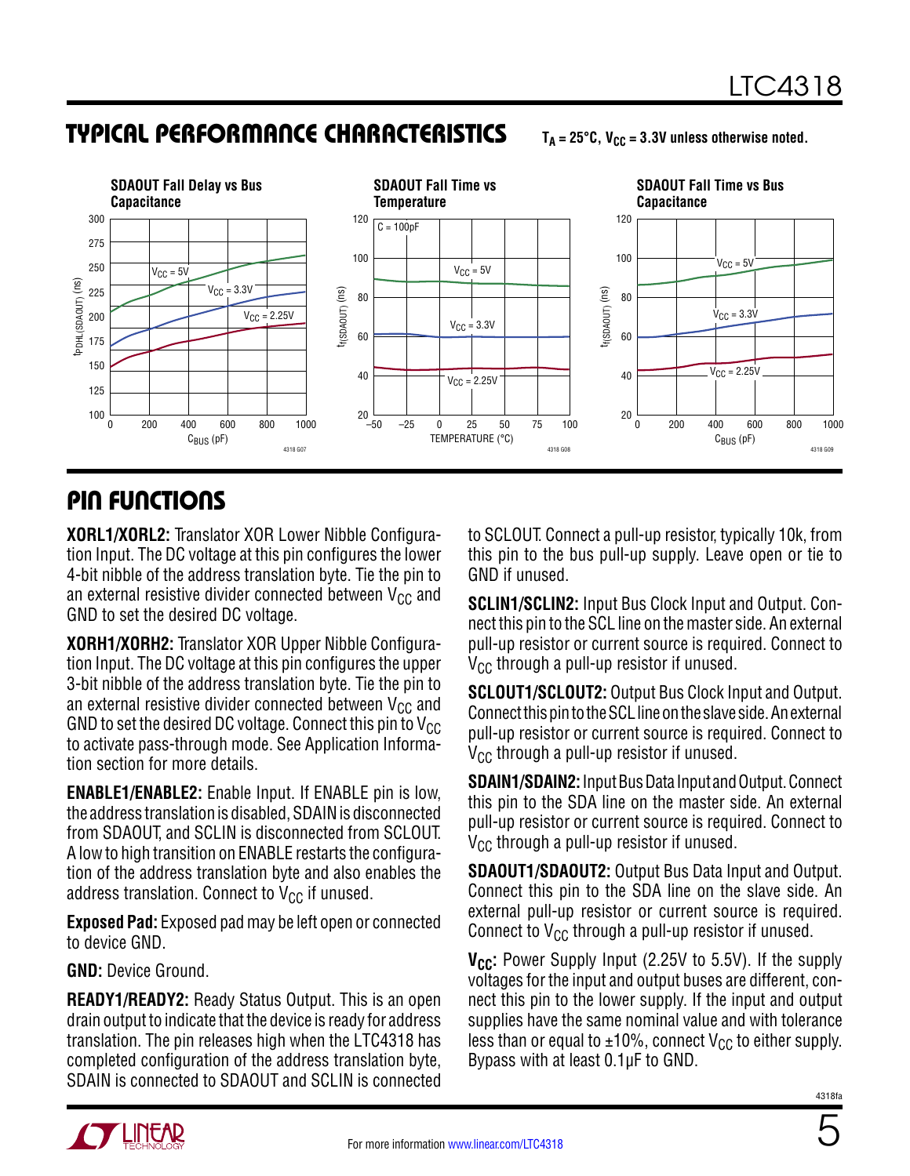### Typical Performance Characteristics

 $T_A = 25^\circ \text{C}$ ,  $V_{CC} = 3.3V$  unless otherwise noted.



### Pin Functions

**XORL1/XORL2:** Translator XOR Lower Nibble Configuration Input. The DC voltage at this pin configures the lower 4-bit nibble of the address translation byte. Tie the pin to an external resistive divider connected between  $V_{CC}$  and GND to set the desired DC voltage.

**XORH1/XORH2:** Translator XOR Upper Nibble Configuration Input. The DC voltage at this pin configures the upper 3-bit nibble of the address translation byte. Tie the pin to an external resistive divider connected between  $V_{CC}$  and GND to set the desired DC voltage. Connect this pin to  $V_{CC}$ to activate pass-through mode. See Application Information section for more details.

**ENABLE1/ENABLE2:** Enable Input. If ENABLE pin is low, the address translation is disabled, SDAIN is disconnected from SDAOUT, and SCLIN is disconnected from SCLOUT. A low to high transition on ENABLE restarts the configuration of the address translation byte and also enables the address translation. Connect to  $V_{CC}$  if unused.

**Exposed Pad:** Exposed pad may be left open or connected to device GND.

**GND:** Device Ground.

**READY1/READY2:** Ready Status Output. This is an open drain output to indicate that the device is ready for address translation. The pin releases high when the LTC4318 has completed configuration of the address translation byte, SDAIN is connected to SDAOUT and SCLIN is connected to SCLOUT. Connect a pull-up resistor, typically 10k, from this pin to the bus pull-up supply. Leave open or tie to GND if unused.

**SCLIN1/SCLIN2:** Input Bus Clock Input and Output. Connect this pin to the SCL line on the master side. An external pull-up resistor or current source is required. Connect to  $V_{CC}$  through a pull-up resistor if unused.

**SCLOUT1/SCLOUT2:** Output Bus Clock Input and Output. Connect this pin to the SCL line on the slave side. An external pull-up resistor or current source is required. Connect to  $V_{CC}$  through a pull-up resistor if unused.

**SDAIN1/SDAIN2:** Input Bus Data Input and Output. Connect this pin to the SDA line on the master side. An external pull-up resistor or current source is required. Connect to  $V_{CC}$  through a pull-up resistor if unused.

**SDAOUT1/SDAOUT2:** Output Bus Data Input and Output. Connect this pin to the SDA line on the slave side. An external pull-up resistor or current source is required. Connect to  $V_{CC}$  through a pull-up resistor if unused.

**V<sub>CC</sub>:** Power Supply Input (2.25V to 5.5V). If the supply voltages for the input and output buses are different, connect this pin to the lower supply. If the input and output supplies have the same nominal value and with tolerance less than or equal to  $\pm 10\%$ , connect V<sub>CC</sub> to either supply. Bypass with at least 0.1µF to GND.



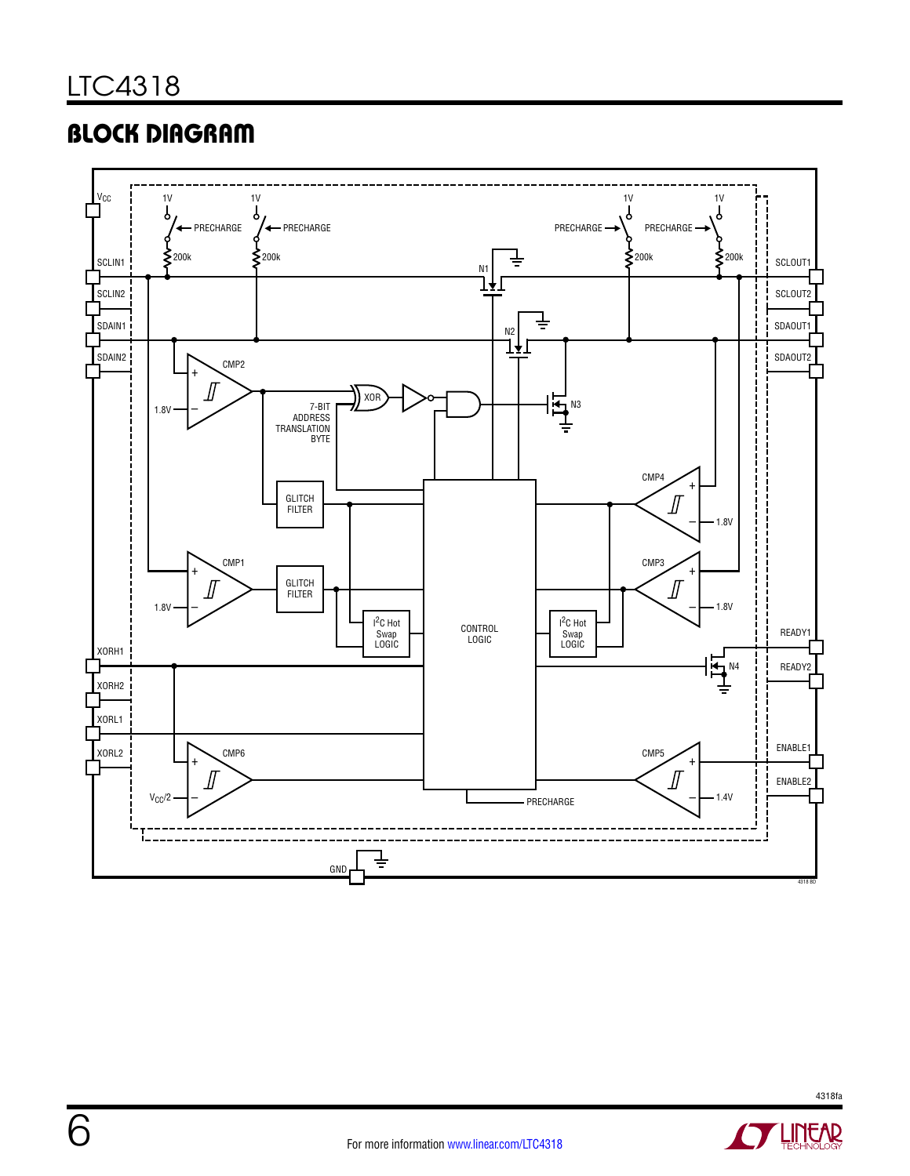### **BLOCK DIAGRAM**



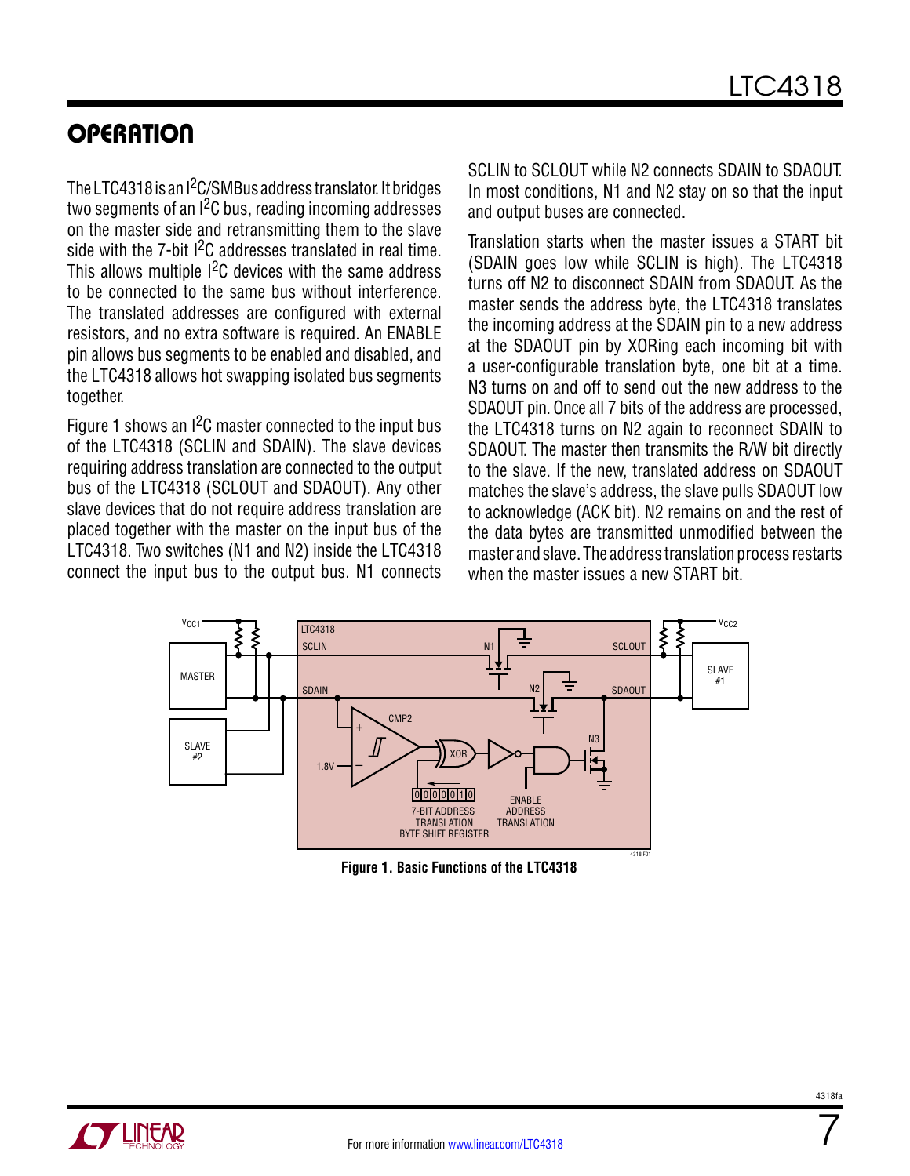The LTC4318 is an I<sup>2</sup>C/SMBus address translator. It bridges two segments of an  $1<sup>2</sup>C$  bus, reading incoming addresses on the master side and retransmitting them to the slave side with the 7-bit I<sup>2</sup>C addresses translated in real time. This allows multiple  $1<sup>2</sup>C$  devices with the same address to be connected to the same bus without interference. The translated addresses are configured with external resistors, and no extra software is required. An ENABLE pin allows bus segments to be enabled and disabled, and the LTC4318 allows hot swapping isolated bus segments together.

Figure 1 shows an  $1<sup>2</sup>C$  master connected to the input bus of the LTC4318 (SCLIN and SDAIN). The slave devices requiring address translation are connected to the output bus of the LTC4318 (SCLOUT and SDAOUT). Any other slave devices that do not require address translation are placed together with the master on the input bus of the LTC4318. Two switches (N1 and N2) inside the LTC4318 connect the input bus to the output bus. N1 connects

SCLIN to SCLOUT while N2 connects SDAIN to SDAOUT. In most conditions, N1 and N2 stay on so that the input and output buses are connected.

Translation starts when the master issues a START bit (SDAIN goes low while SCLIN is high). The LTC4318 turns off N2 to disconnect SDAIN from SDAOUT. As the master sends the address byte, the LTC4318 translates the incoming address at the SDAIN pin to a new address at the SDAOUT pin by XORing each incoming bit with a user-configurable translation byte, one bit at a time. N3 turns on and off to send out the new address to the SDAOUT pin. Once all 7 bits of the address are processed, the LTC4318 turns on N2 again to reconnect SDAIN to SDAOUT. The master then transmits the R/W bit directly to the slave. If the new, translated address on SDAOUT matches the slave's address, the slave pulls SDAOUT low to acknowledge (ACK bit). N2 remains on and the rest of the data bytes are transmitted unmodified between the master and slave. The address translation process restarts when the master issues a new START bit.



**Figure 1. Basic Functions of the LTC4318**

7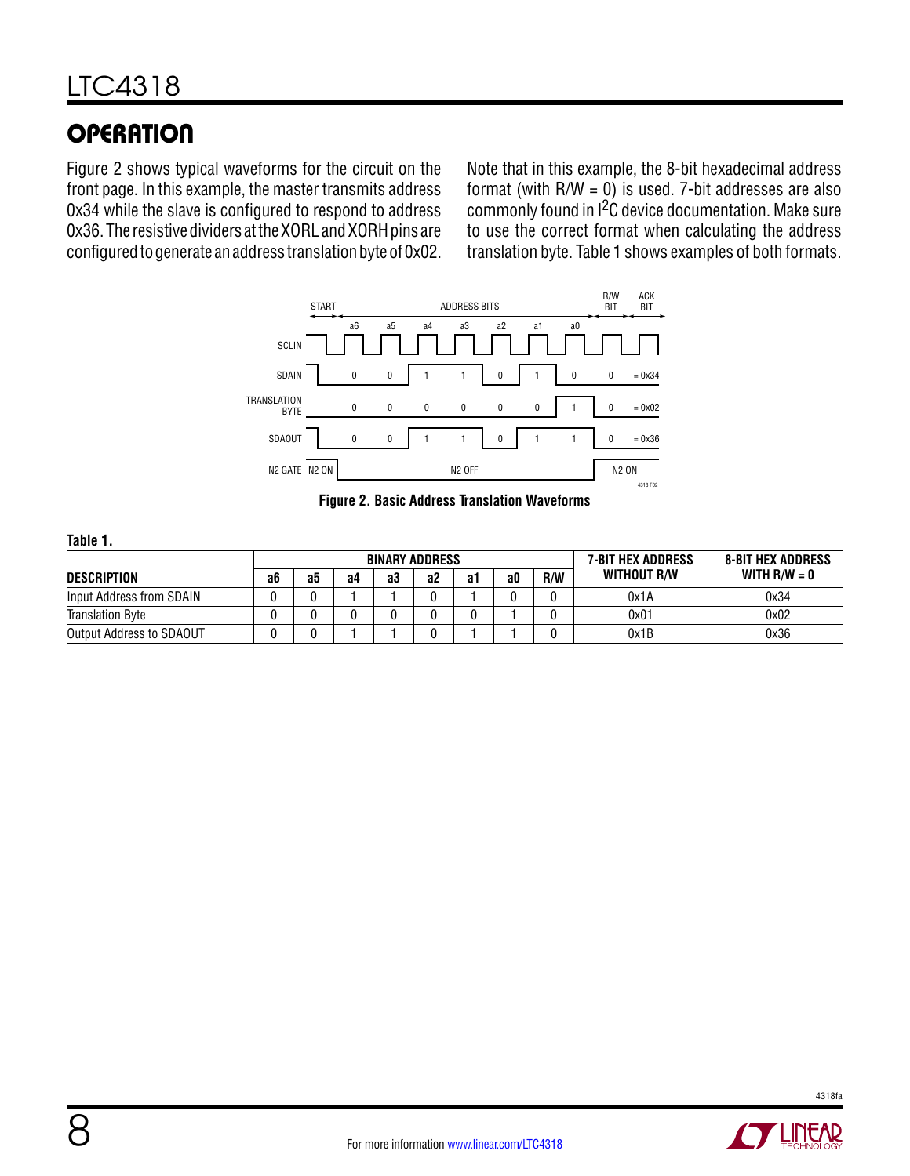Figure 2 shows typical waveforms for the circuit on the front page. In this example, the master transmits address 0x34 while the slave is configured to respond to address 0x36. The resistive dividers at the XORL and XORH pins are configured to generate an address translation byte of 0x02.

Note that in this example, the 8-bit hexadecimal address format (with  $R/W = 0$ ) is used. 7-bit addresses are also commonly found in  $1^2C$  device documentation. Make sure to use the correct format when calculating the address translation byte. Table 1 shows examples of both formats.



**Figure 2. Basic Address Translation Waveforms**

#### **Table 1.**

|                          |    |    |    |    | <b>BINARY ADDRESS</b> |    |    | 7-BIT HEX ADDRESS | <b>8-BIT HEX ADDRESS</b> |                |
|--------------------------|----|----|----|----|-----------------------|----|----|-------------------|--------------------------|----------------|
| DESCRIPTION              | a6 | გე | a4 | aЗ | a2                    | а1 | a0 | <b>R/W</b>        | WITHOUT R/W              | WITH $R/W = 0$ |
| Input Address from SDAIN |    |    |    |    |                       |    |    |                   | 0x1A                     | 0x34           |
| <b>Translation Byte</b>  |    |    |    |    |                       |    |    |                   | 0x01                     | 0x02           |
| Output Address to SDAOUT |    |    |    |    |                       |    |    |                   | 0x1B                     | 0x36           |

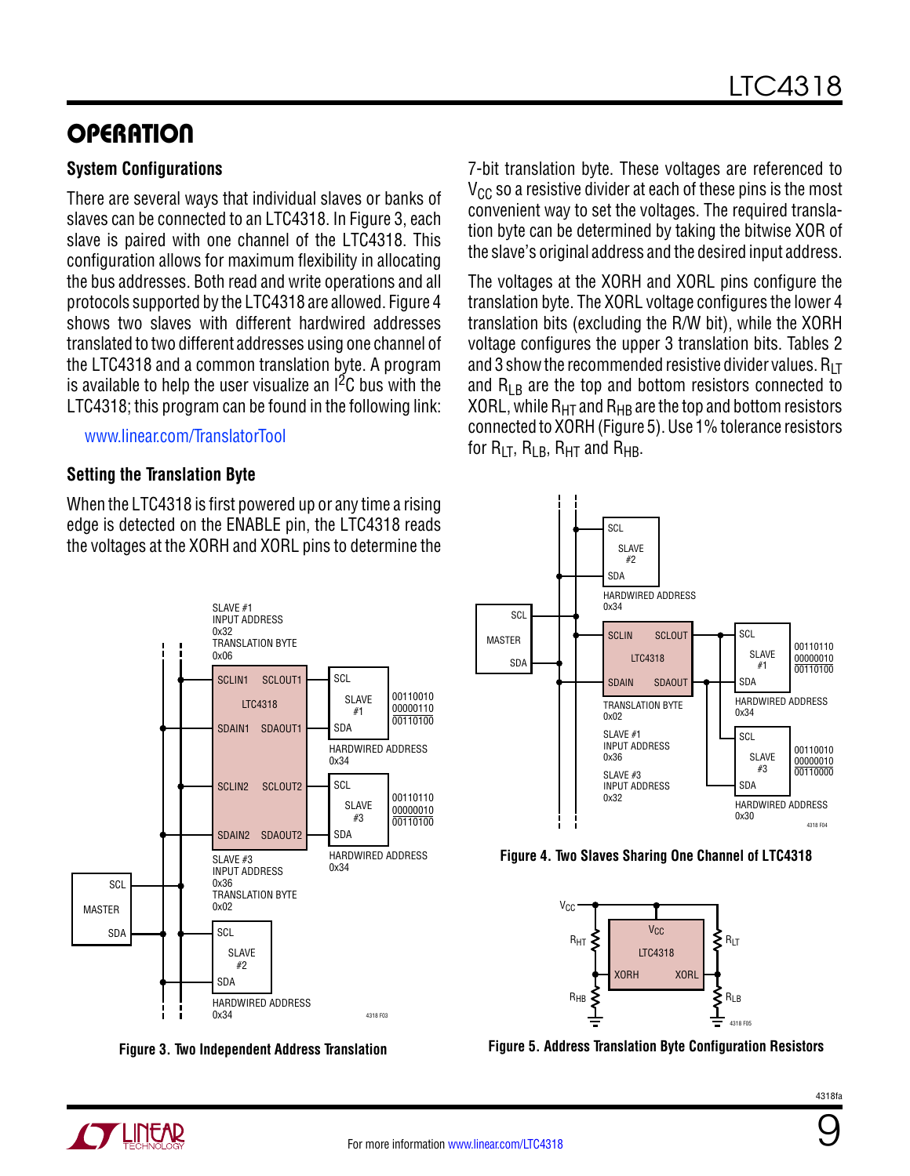### **System Configurations**

There are several ways that individual slaves or banks of slaves can be connected to an LTC4318. In Figure 3, each slave is paired with one channel of the LTC4318. This configuration allows for maximum flexibility in allocating the bus addresses. Both read and write operations and all protocols supported by the LTC4318 are allowed. Figure 4 shows two slaves with different hardwired addresses translated to two different addresses using one channel of the LTC4318 and a common translation byte. A program is available to help the user visualize an  $1<sup>2</sup>C$  bus with the LTC4318; this program can be found in the following link:

### [www.linear.com/TranslatorTool](http://www.linear.com/TranslatorTool)

### **Setting the Translation Byte**

When the LTC4318 is first powered up or any time a rising edge is detected on the ENABLE pin, the LTC4318 reads the voltages at the XORH and XORL pins to determine the



**Figure 3. Two Independent Address Translation**

7-bit translation byte. These voltages are referenced to  $V_{CC}$  so a resistive divider at each of these pins is the most convenient way to set the voltages. The required translation byte can be determined by taking the bitwise XOR of the slave's original address and the desired input address.

The voltages at the XORH and XORL pins configure the translation byte. The XORL voltage configures the lower 4 translation bits (excluding the R/W bit), while the XORH voltage configures the upper 3 translation bits. Tables 2 and 3 show the recommended resistive divider values.  $R_{LT}$ and  $R_{LR}$  are the top and bottom resistors connected to XORL, while  $R_{HT}$  and  $R_{HB}$  are the top and bottom resistors connected to XORH (Figure 5). Use 1% tolerance resistors for  $R_{LT}$ ,  $R_{LB}$ ,  $R_{HT}$  and  $R_{HB}$ .







**Figure 5. Address Translation Byte Configuration Resistors**



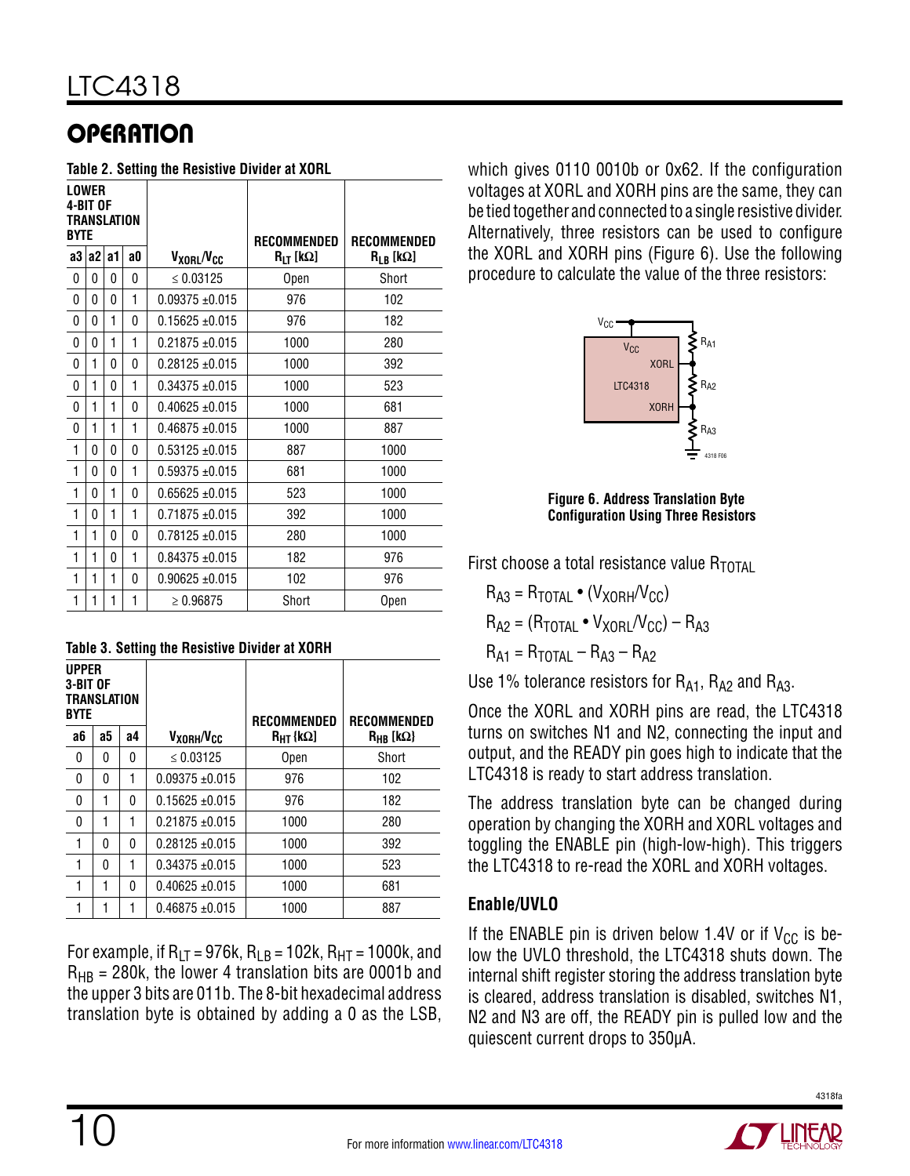#### **Table 2. Setting the Resistive Divider at XORL**

| <b>LOWER</b><br>4-BIT OF<br>TRANSLATION<br><b>BYTE</b> |    |    |    | RECOMMENDED                        | RECOMMENDED   |               |
|--------------------------------------------------------|----|----|----|------------------------------------|---------------|---------------|
| a3                                                     | a2 | a1 | a0 | V <sub>xorl</sub> /V <sub>cc</sub> | $R_{LT}$ [kΩ] | $R_{LB}$ [kΩ] |
| 0                                                      | 0  | 0  | 0  | $\leq 0.03125$                     | Open          | Short         |
| 0                                                      | 0  | 0  | 1  | $0.09375 \pm 0.015$                | 976           | 102           |
| 0                                                      | 0  | 1  | 0  | $0.15625 + 0.015$                  | 976           | 182           |
| 0                                                      | 0  | 1  | 1  | $0.21875 \pm 0.015$                | 1000          | 280           |
| 0                                                      | 1  | 0  | 0  | $0.28125 + 0.015$                  | 1000          | 392           |
| 0                                                      | 1  | 0  | 1  | $0.34375 + 0.015$                  | 1000          | 523           |
| 0                                                      | 1  | 1  | 0  | $0.40625 \pm 0.015$                | 1000          | 681           |
| 0                                                      | 1  | 1  | 1  | $0.46875 + 0.015$                  | 1000          | 887           |
| 1                                                      | 0  | 0  | 0  | $0.53125 + 0.015$                  | 887           | 1000          |
| 1                                                      | 0  | 0  | 1  | $0.59375 + 0.015$                  | 681           | 1000          |
| 1                                                      | 0  | 1  | 0  | $0.65625 \pm 0.015$                | 523           | 1000          |
| 1                                                      | 0  | 1  | 1  | $0.71875 + 0.015$                  | 392           | 1000          |
| 1                                                      | 1  | 0  | 0  | $0.78125 \pm 0.015$                | 280           | 1000          |
| 1                                                      | 1  | 0  | 1  | $0.84375 + 0.015$                  | 182           | 976           |
| 1                                                      | 1  | 1  | 0  | $0.90625 \pm 0.015$                | 102           | 976           |
| 1                                                      | 1  | 1  | 1  | $\geq 0.96875$                     | Short         | Open          |

| <b>UPPER</b><br>3-BIT OF<br><b>TRANSLATION</b><br><b>BYTE</b> |    |    |                                    | <b>RECOMMENDED</b>   | <b>RECOMMENDED</b>     |
|---------------------------------------------------------------|----|----|------------------------------------|----------------------|------------------------|
| a6                                                            | а5 | а4 | V <sub>xorh</sub> /V <sub>cc</sub> | $R_{\text{HT}}$ {kΩ] | $R_{HR}$ [k $\Omega$ } |
| 0                                                             | 0  | 0  | $\leq 0.03125$                     | Open                 | Short                  |
| 0                                                             | 0  |    | $0.09375 \pm 0.015$                | 976                  | 102                    |
| 0                                                             | 1  | 0  | $0.15625 + 0.015$                  | 976                  | 182                    |
| 0                                                             | 1  | 1  | $0.21875 + 0.015$                  | 1000                 | 280                    |
| 1                                                             | 0  | 0  | $0.28125 + 0.015$                  | 1000                 | 392                    |
| 1                                                             | 0  |    | $0.34375 + 0.015$                  | 1000                 | 523                    |
| 1                                                             | 1  | 0  | $0.40625 \pm 0.015$                | 1000                 | 681                    |
|                                                               | 1  |    | $0.46875 + 0.015$                  | 1000                 | 887                    |

For example, if  $R_{LT} = 976k$ ,  $R_{LB} = 102k$ ,  $R_{HT} = 1000k$ , and  $R_{HR}$  = 280k, the lower 4 translation bits are 0001b and the upper 3 bits are 011b. The 8-bit hexadecimal address translation byte is obtained by adding a 0 as the LSB,

10

which gives 0110 0010b or 0x62. If the configuration voltages at XORL and XORH pins are the same, they can be tied together and connected to a single resistive divider. Alternatively, three resistors can be used to configure the XORL and XORH pins (Figure 6). Use the following procedure to calculate the value of the three resistors:



**Figure 6. Address Translation Byte Configuration Using Three Resistors**

First choose a total resistance value  $R_{\text{TOTA}}$ 

 $R_{A3} = R_{\text{TOTAI}} \cdot (V_{XORH}/V_{CC})$  $R_{A2} = (R_{\text{TOTAL}} \cdot V_{\text{XORL}}/V_{\text{CC}}) - R_{A3}$  $R_{A1} = R_{\text{TOTAI}} - R_{A3} - R_{A2}$ 

Use 1% tolerance resistors for  $R_{A1}$ ,  $R_{A2}$  and  $R_{A3}$ .

Once the XORL and XORH pins are read, the LTC4318 turns on switches N1 and N2, connecting the input and output, and the READY pin goes high to indicate that the LTC4318 is ready to start address translation.

The address translation byte can be changed during operation by changing the XORH and XORL voltages and toggling the ENABLE pin (high-low-high). This triggers the LTC4318 to re-read the XORL and XORH voltages.

### **Enable/UVLO**

If the ENABLE pin is driven below 1.4V or if  $V_{CC}$  is below the UVLO threshold, the LTC4318 shuts down. The internal shift register storing the address translation byte is cleared, address translation is disabled, switches N1, N2 and N3 are off, the READY pin is pulled low and the quiescent current drops to 350µA.

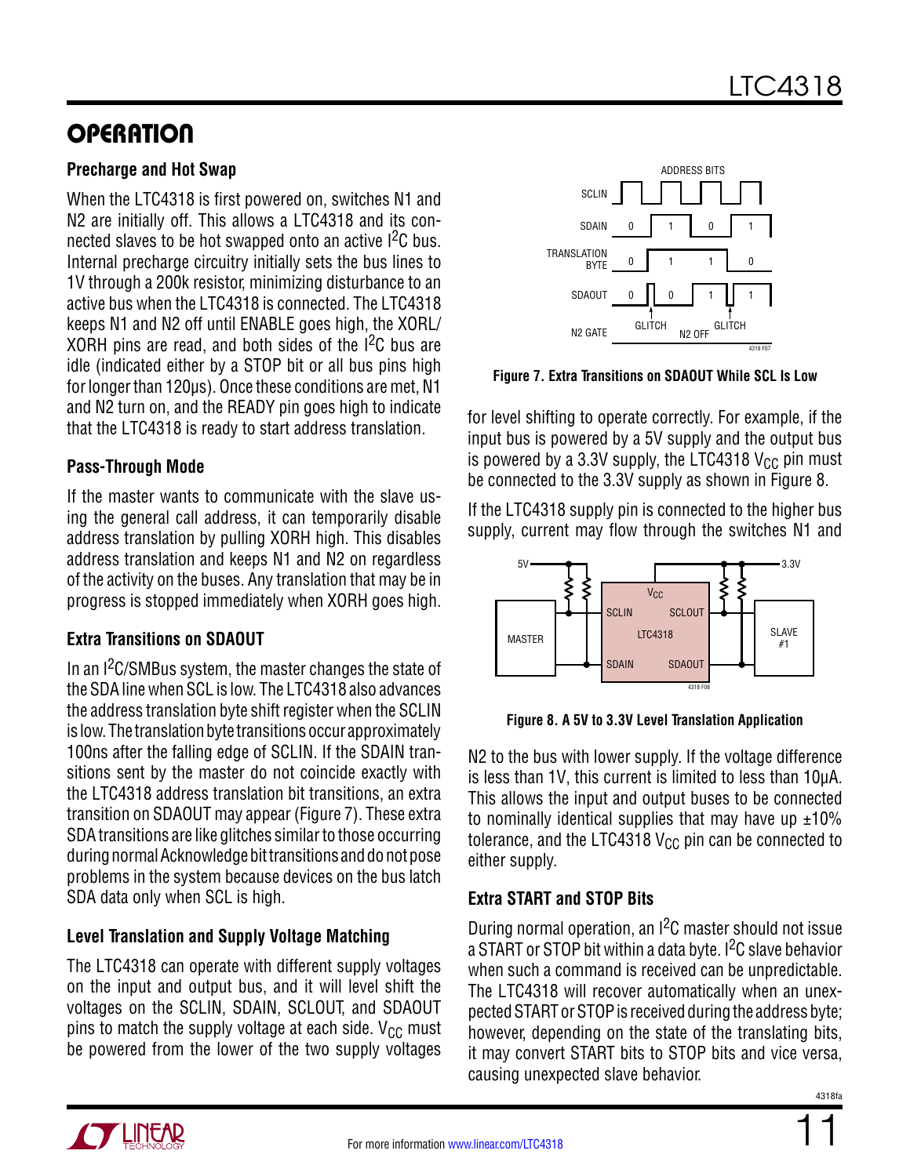#### **Precharge and Hot Swap**

When the LTC4318 is first powered on, switches N1 and N2 are initially off. This allows a LTC4318 and its connected slaves to be hot swapped onto an active  $1^2C$  bus. Internal precharge circuitry initially sets the bus lines to 1V through a 200k resistor, minimizing disturbance to an active bus when the LTC4318 is connected. The LTC4318 keeps N1 and N2 off until ENABLE goes high, the XORL/ XORH pins are read, and both sides of the  $1^2C$  bus are idle (indicated either by a STOP bit or all bus pins high for longer than 120µs). Once these conditions are met, N1 and N2 turn on, and the READY pin goes high to indicate that the LTC4318 is ready to start address translation.

#### **Pass-Through Mode**

If the master wants to communicate with the slave using the general call address, it can temporarily disable address translation by pulling XORH high. This disables address translation and keeps N1 and N2 on regardless of the activity on the buses. Any translation that may be in progress is stopped immediately when XORH goes high.

### **Extra Transitions on SDAOUT**

In an  $1<sup>2</sup>C/SMBus$  system, the master changes the state of the SDA line when SCL is low. The LTC4318 also advances the address translation byte shift register when the SCLIN is low. The translation byte transitions occur approximately 100ns after the falling edge of SCLIN. If the SDAIN transitions sent by the master do not coincide exactly with the LTC4318 address translation bit transitions, an extra transition on SDAOUT may appear (Figure 7). These extra SDA transitions are like glitches similar to those occurring during normal Acknowledge bit transitions and do not pose problems in the system because devices on the bus latch SDA data only when SCL is high.

### **Level Translation and Supply Voltage Matching**

The LTC4318 can operate with different supply voltages on the input and output bus, and it will level shift the voltages on the SCLIN, SDAIN, SCLOUT, and SDAOUT pins to match the supply voltage at each side.  $V_{CC}$  must be powered from the lower of the two supply voltages



**Figure 7. Extra Transitions on SDAOUT While SCL Is Low**

for level shifting to operate correctly. For example, if the input bus is powered by a 5V supply and the output bus is powered by a 3.3V supply, the LTC4318  $V_{CC}$  pin must be connected to the 3.3V supply as shown in Figure 8.

If the LTC4318 supply pin is connected to the higher bus supply, current may flow through the switches N1 and



**Figure 8. A 5V to 3.3V Level Translation Application**

N2 to the bus with lower supply. If the voltage difference is less than 1V, this current is limited to less than 10µA. This allows the input and output buses to be connected to nominally identical supplies that may have up  $\pm 10\%$ tolerance, and the LTC4318  $V_{CC}$  pin can be connected to either supply.

### **Extra START and STOP Bits**

During normal operation, an I2C master should not issue a START or STOP bit within a data byte. I<sup>2</sup>C slave behavior when such a command is received can be unpredictable. The LTC4318 will recover automatically when an unexpected START or STOP is received during the address byte; however, depending on the state of the translating bits, it may convert START bits to STOP bits and vice versa, causing unexpected slave behavior.



11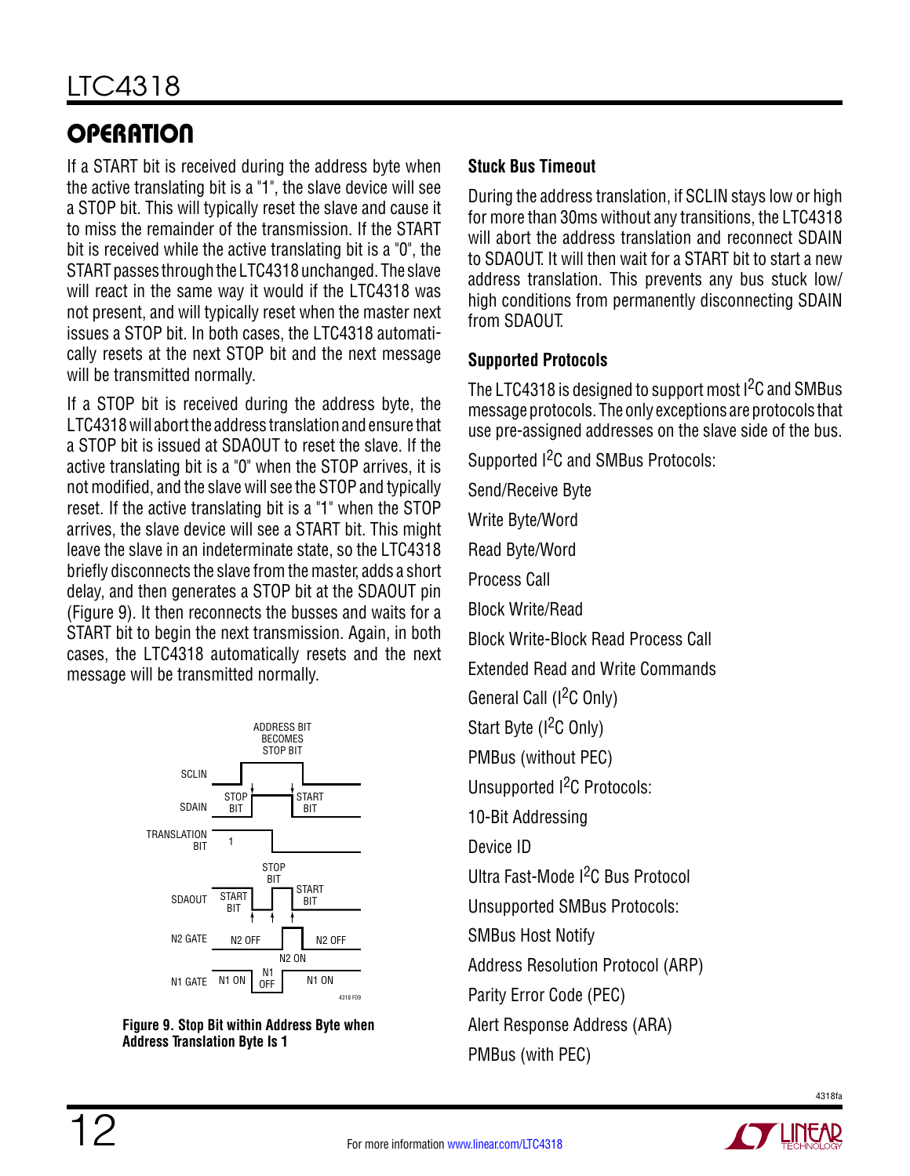If a START bit is received during the address byte when the active translating bit is a "1", the slave device will see a STOP bit. This will typically reset the slave and cause it to miss the remainder of the transmission. If the START bit is received while the active translating bit is a "0", the START passes through the LTC4318 unchanged. The slave will react in the same way it would if the LTC4318 was not present, and will typically reset when the master next issues a STOP bit. In both cases, the LTC4318 automatically resets at the next STOP bit and the next message will be transmitted normally.

If a STOP bit is received during the address byte, the LTC4318 will abort the address translation and ensure that a STOP bit is issued at SDAOUT to reset the slave. If the active translating bit is a "0" when the STOP arrives, it is not modified, and the slave will see the STOP and typically reset. If the active translating bit is a "1" when the STOP arrives, the slave device will see a START bit. This might leave the slave in an indeterminate state, so the LTC4318 briefly disconnects the slave from the master, adds a short delay, and then generates a STOP bit at the SDAOUT pin (Figure 9). It then reconnects the busses and waits for a START bit to begin the next transmission. Again, in both cases, the LTC4318 automatically resets and the next message will be transmitted normally.





### **Stuck Bus Timeout**

During the address translation, if SCLIN stays low or high for more than 30ms without any transitions, the LTC4318 will abort the address translation and reconnect SDAIN to SDAOUT. It will then wait for a START bit to start a new address translation. This prevents any bus stuck low/ high conditions from permanently disconnecting SDAIN from SDAOUT.

#### **Supported Protocols**

The LTC4318 is designed to support most I<sup>2</sup>C and SMBus message protocols. The only exceptions are protocols that use pre-assigned addresses on the slave side of the bus.

Supported <sup>2</sup>C and SMBus Protocols:

Send/Receive Byte Write Byte/Word Read Byte/Word Process Call Block Write/Read Block Write-Block Read Process Call Extended Read and Write Commands General Call (I<sup>2</sup>C Only) Start Byte (I<sup>2</sup>C Only) PMBus (without PEC) Unsupported <sup>2</sup>C Protocols: 10-Bit Addressing Device ID Ultra Fast-Mode I2C Bus Protocol Unsupported SMBus Protocols: SMBus Host Notify Address Resolution Protocol (ARP) Parity Error Code (PEC) Alert Response Address (ARA) PMBus (with PEC)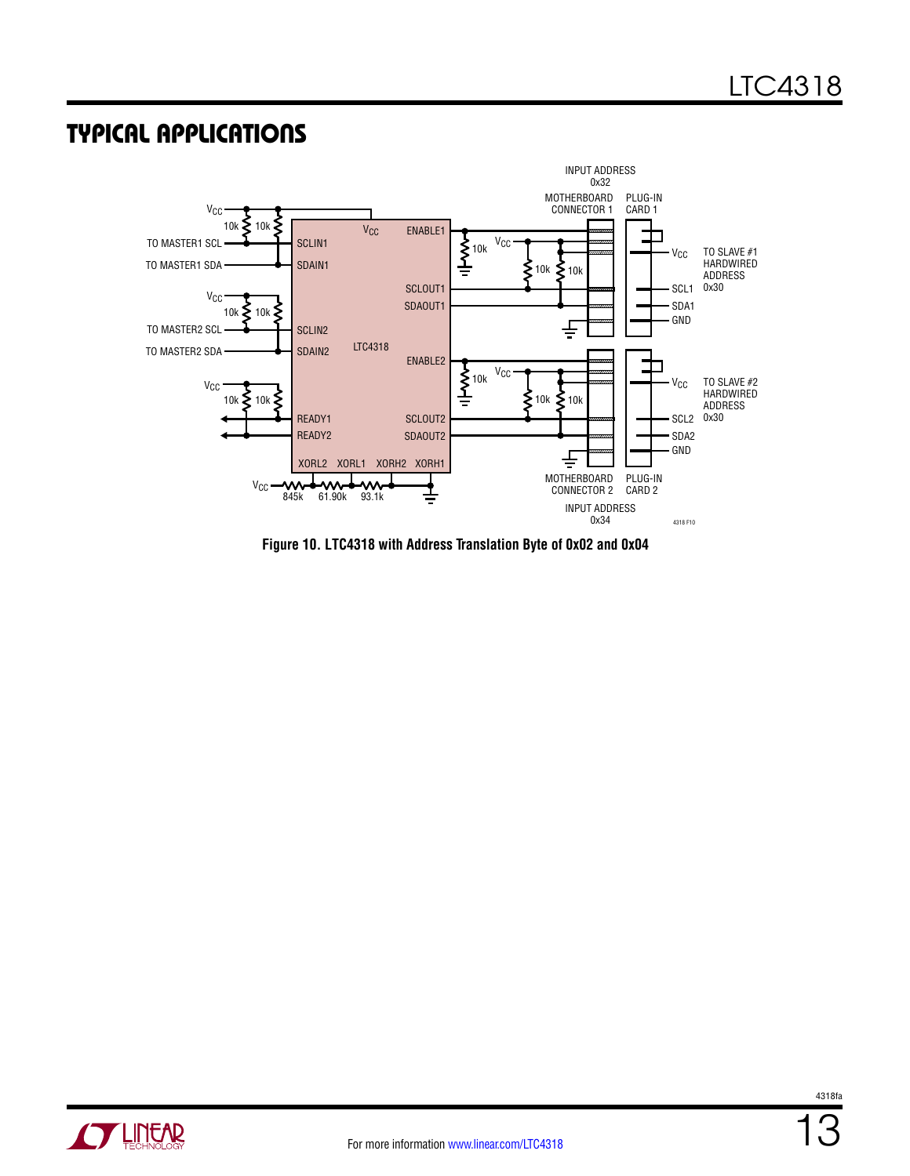### Typical Applications



**Figure 10. LTC4318 with Address Translation Byte of 0x02 and 0x04**

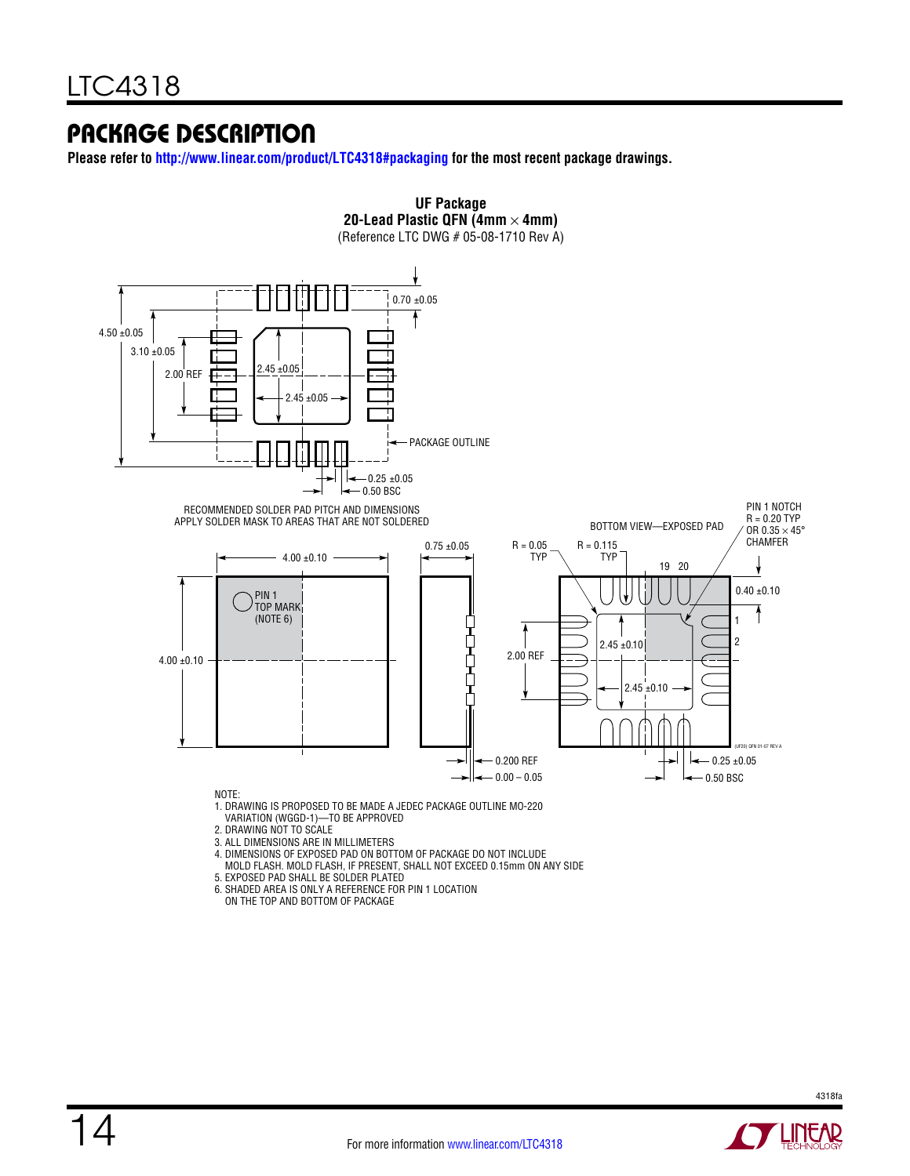### Package Description

**Please refer to <http://www.linear.com/product/LTC4318#packaging>for the most recent package drawings.**



- 6. SHADED AREA IS ONLY A REFERENCE FOR PIN 1 LOCATION
	- ON THE TOP AND BOTTOM OF PACKAGE

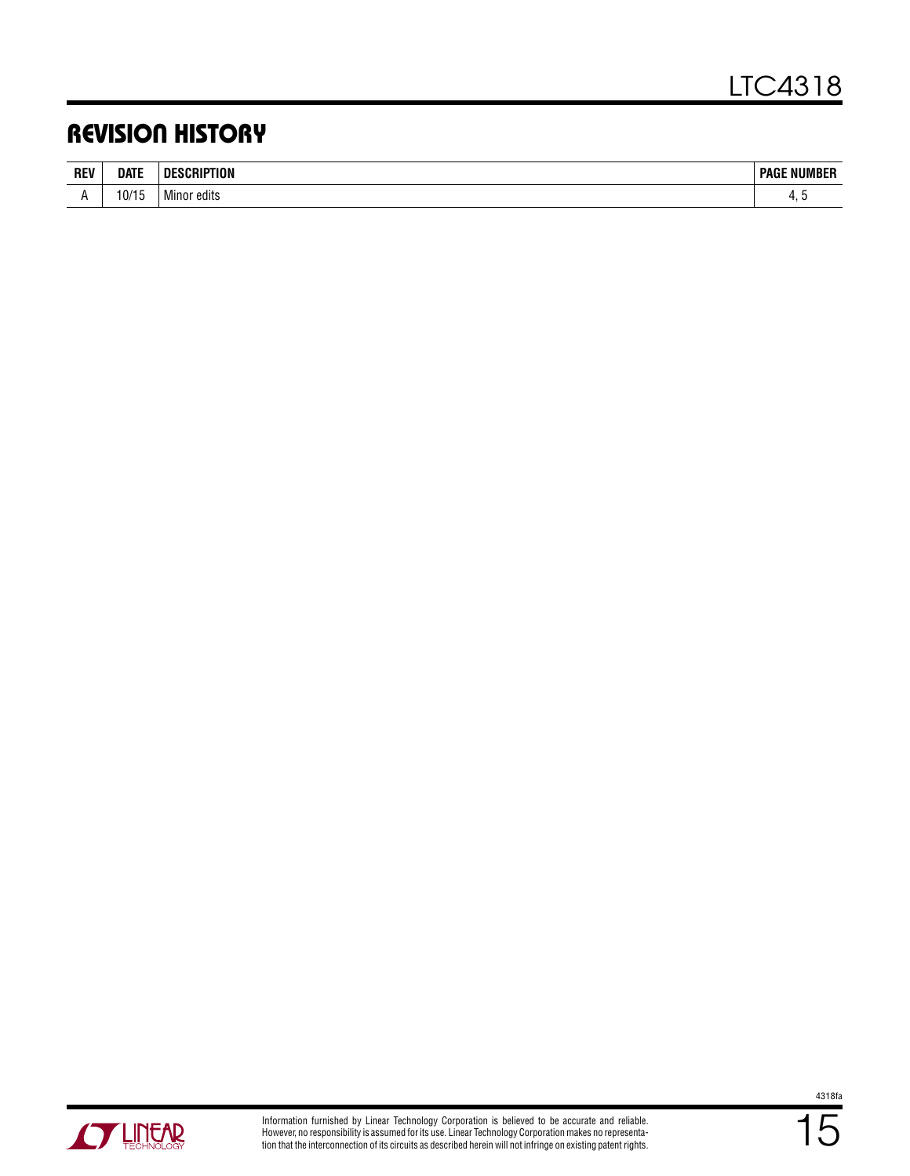### Revision History

| <b>REV</b> | DATE     | ESCRIPTION<br>ΠF                                    | <b>PAGE NUMBER</b> |
|------------|----------|-----------------------------------------------------|--------------------|
| . .        | $10/1^r$ | .<br><sup>.</sup> edits<br>. Minor<br>$\sim$ $\sim$ | . .                |